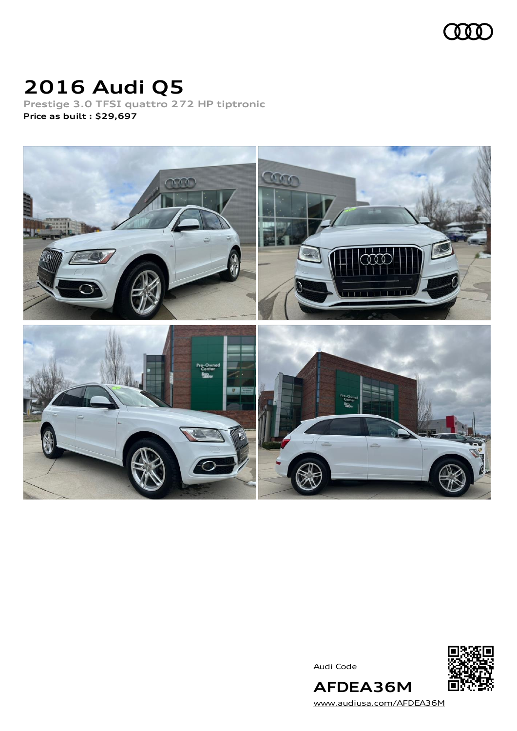

# **2016 Audi Q5**

**Prestige 3.0 TFSI quattro 272 HP tiptronic Price as built [:](#page-10-0) \$29,697**



Audi Code



[www.audiusa.com/AFDEA36M](https://www.audiusa.com/AFDEA36M)

**AFDEA36M**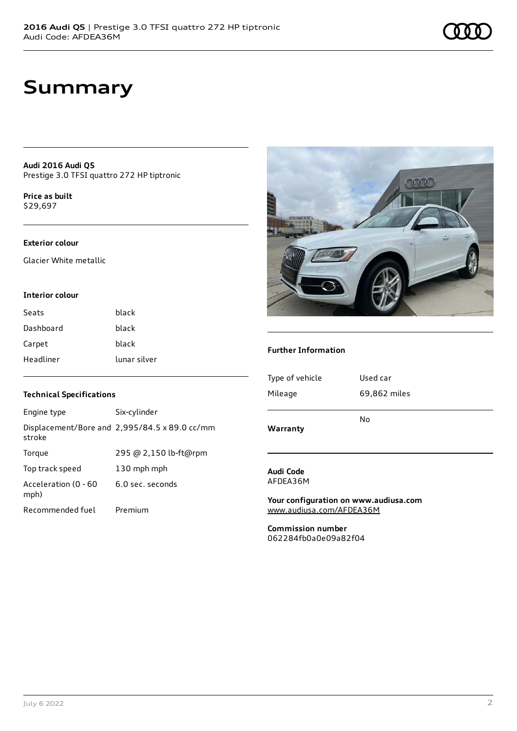## **Summary**

**Audi 2016 Audi Q5** Prestige 3.0 TFSI quattro 272 HP tiptronic

**Price as buil[t](#page-10-0)** \$29,697

## **Exterior colour**

Glacier White metallic

#### **Interior colour**

| Seats     | black        |
|-----------|--------------|
| Dashboard | black        |
| Carpet    | black        |
| Headliner | lunar silver |

### **Technical Specifications**

| Engine type                  | Six-cylinder                                  |
|------------------------------|-----------------------------------------------|
| stroke                       | Displacement/Bore and 2,995/84.5 x 89.0 cc/mm |
| Torque                       | 295 @ 2,150 lb-ft@rpm                         |
| Top track speed              | 130 mph mph                                   |
| Acceleration (0 - 60<br>mph) | 6.0 sec. seconds                              |
| Recommended fuel             | Premium                                       |



### **Further Information**

| Warranty        |              |
|-----------------|--------------|
|                 | No           |
| Mileage         | 69,862 miles |
| Type of vehicle | Used car     |
|                 |              |

#### **Audi Code** AFDEA36M

**Your configuration on www.audiusa.com** [www.audiusa.com/AFDEA36M](https://www.audiusa.com/AFDEA36M)

**Commission number** 062284fb0a0e09a82f04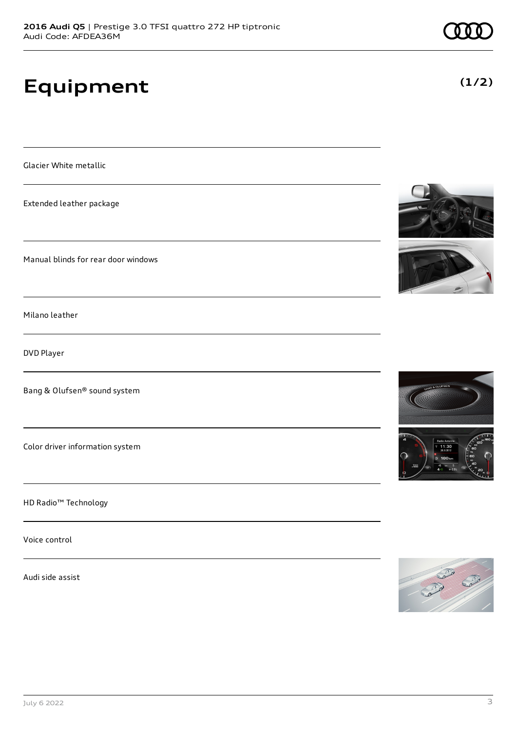# **Equipment**

Glacier White metallic

Extended leather package

Manual blinds for rear door windows

Milano leather

DVD Player

Bang & Olufsen® sound system

Color driver information system

HD Radio™ Technology

Voice control

Audi side assist







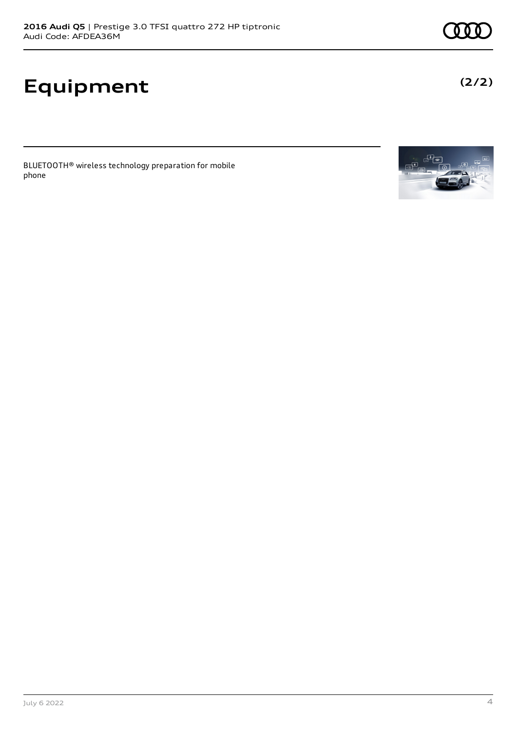# **Equipment**

BLUETOOTH® wireless technology preparation for mobile phone



**(2/2)**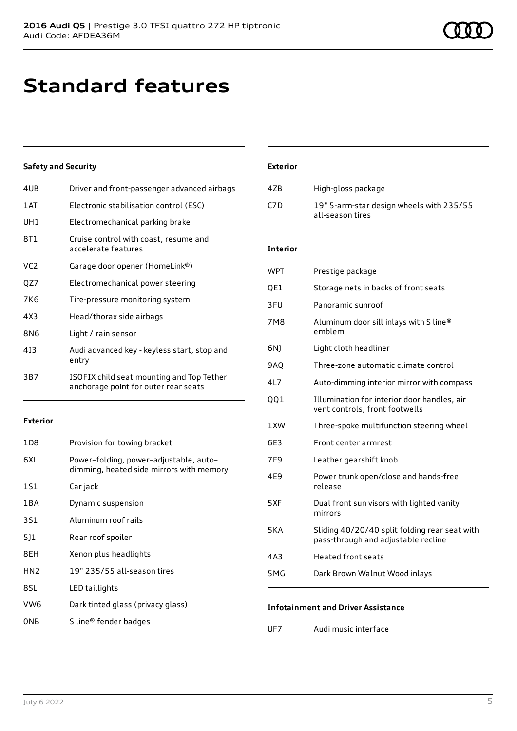## **Standard features**

## **Safety and Security**

| 4UB             | Driver and front-passenger advanced airbags                                       |
|-----------------|-----------------------------------------------------------------------------------|
| 1 AT            | Electronic stabilisation control (ESC)                                            |
| UH1             | Electromechanical parking brake                                                   |
| 8T1             | Cruise control with coast, resume and<br>accelerate features                      |
| VC <sub>2</sub> | Garage door opener (HomeLink®)                                                    |
| QZ7             | Electromechanical power steering                                                  |
| 7K6             | Tire-pressure monitoring system                                                   |
| 4X3             | Head/thorax side airbags                                                          |
| 8N6             | Light / rain sensor                                                               |
| 413             | Audi advanced key - keyless start, stop and<br>entry                              |
| 3B7             | ISOFIX child seat mounting and Top Tether<br>anchorage point for outer rear seats |
|                 |                                                                                   |

### **Exterior**

| 1 D 8           | Provision for towing bracket                                                       |
|-----------------|------------------------------------------------------------------------------------|
| 6XL             | Power-folding, power-adjustable, auto-<br>dimming, heated side mirrors with memory |
| 1S1             | Car jack                                                                           |
| 1 B A           | Dynamic suspension                                                                 |
| 3S1             | Aluminum roof rails                                                                |
| 5]1             | Rear roof spoiler                                                                  |
| 8EH             | Xenon plus headlights                                                              |
| HN <sub>2</sub> | 19" 235/55 all-season tires                                                        |
| 8SL             | LED taillights                                                                     |
| VW <sub>6</sub> | Dark tinted glass (privacy glass)                                                  |
| ONB             | S line® fender badges                                                              |

## **Exterior**

| 4ZB | High-gloss package                                           |
|-----|--------------------------------------------------------------|
| C7D | 19" 5-arm-star design wheels with 235/55<br>all-season tires |

### **Interior**

| <b>WPT</b>      | Prestige package                                                                     |
|-----------------|--------------------------------------------------------------------------------------|
| QE1             | Storage nets in backs of front seats                                                 |
| 3FU             | Panoramic sunroof                                                                    |
| 7M8             | Aluminum door sill inlays with S line®<br>emblem                                     |
| 6N)             | Light cloth headliner                                                                |
| 9AQ             | Three-zone automatic climate control                                                 |
| 4L7             | Auto-dimming interior mirror with compass                                            |
| QQ1             | Illumination for interior door handles, air<br>vent controls, front footwells        |
| 1XW             | Three-spoke multifunction steering wheel                                             |
| 6E3             | Front center armrest                                                                 |
| 7F <sub>9</sub> | Leather gearshift knob                                                               |
| 4E9             | Power trunk open/close and hands-free<br>release                                     |
| 5XF             | Dual front sun visors with lighted vanity<br>mirrors                                 |
| 5KA             | Sliding 40/20/40 split folding rear seat with<br>pass-through and adjustable recline |
| 4A3             | <b>Heated front seats</b>                                                            |
| 5MG             | Dark Brown Walnut Wood inlays                                                        |
|                 |                                                                                      |

## **Infotainment and Driver Assistance**

UF7 Audi music interface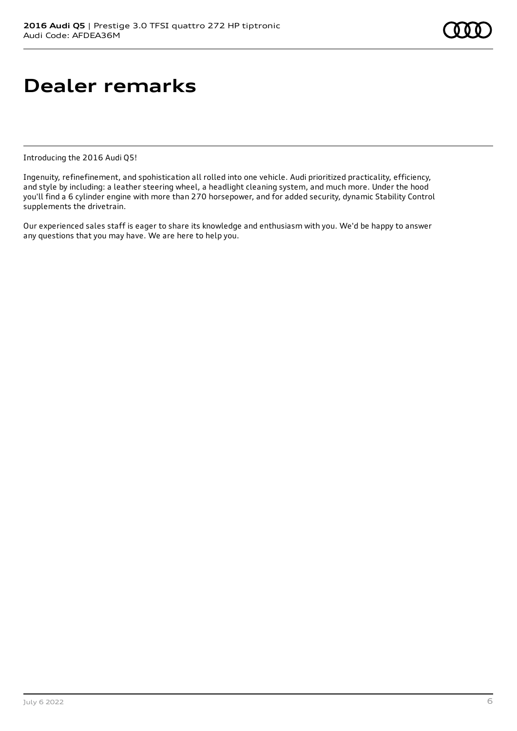## **Dealer remarks**

Introducing the 2016 Audi Q5!

Ingenuity, refinefinement, and spohistication all rolled into one vehicle. Audi prioritized practicality, efficiency, and style by including: a leather steering wheel, a headlight cleaning system, and much more. Under the hood you'll find a 6 cylinder engine with more than 270 horsepower, and for added security, dynamic Stability Control supplements the drivetrain.

Our experienced sales staff is eager to share its knowledge and enthusiasm with you. We'd be happy to answer any questions that you may have. We are here to help you.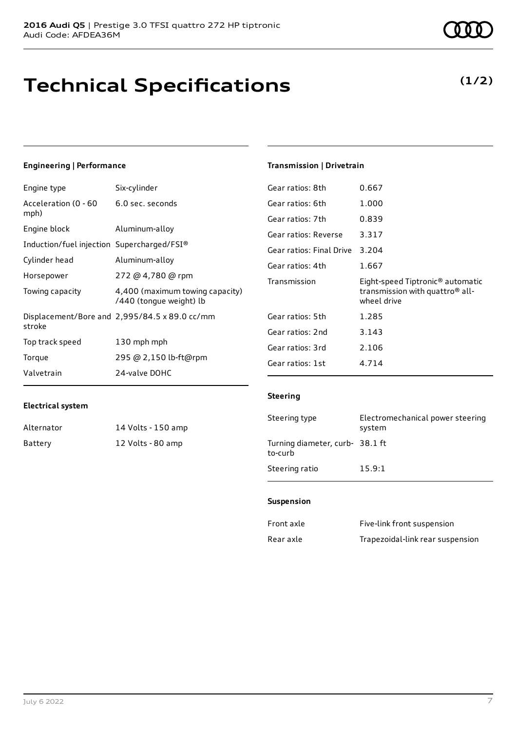# **Technical Specifications**

## **(1/2)**

## **Engineering | Performance**

| Six-cylinder                                               |
|------------------------------------------------------------|
| 6.0 sec. seconds                                           |
| Aluminum-alloy                                             |
| Induction/fuel injection Supercharged/FSI®                 |
| Aluminum-alloy                                             |
| 272 @ 4,780 @ rpm                                          |
| 4,400 (maximum towing capacity)<br>/440 (tonque weight) lb |
| Displacement/Bore and 2,995/84.5 x 89.0 cc/mm              |
| 130 mph mph                                                |
| 295 @ 2,150 lb-ft@rpm                                      |
| 24-valve DOHC                                              |
|                                                            |

## **Transmission | Drivetrain**

| Gear ratios: 8th         | 0.667                                                                                          |
|--------------------------|------------------------------------------------------------------------------------------------|
| Gear ratios: 6th         | 1.000                                                                                          |
| Gear ratios: 7th         | 0.839                                                                                          |
| Gear ratios: Reverse     | 3.317                                                                                          |
| Gear ratios: Final Drive | 3.204                                                                                          |
| Gear ratios: 4th         | 1.667                                                                                          |
|                          |                                                                                                |
| Transmission             | Eight-speed Tiptronic <sup>®</sup> automatic<br>transmission with quattro® all-<br>wheel drive |
| Gear ratios: 5th         | 1.285                                                                                          |
| Gear ratios: 2nd         | 3.143                                                                                          |
| Gear ratios: 3rd         | 2.106                                                                                          |
| Gear ratios: 1st         | 4.714                                                                                          |

## **Electrical system**

| Alternator | 14 Volts - 150 amp |
|------------|--------------------|
| Battery    | 12 Volts - 80 amp  |

## **Steering**

| Steering type                             | Electromechanical power steering<br>system |
|-------------------------------------------|--------------------------------------------|
| Turning diameter, curb-38.1 ft<br>to-curb |                                            |
| Steering ratio                            | 15.9:1                                     |

### **Suspension**

| Front axle | Five-link front suspension       |
|------------|----------------------------------|
| Rear axle  | Trapezoidal-link rear suspension |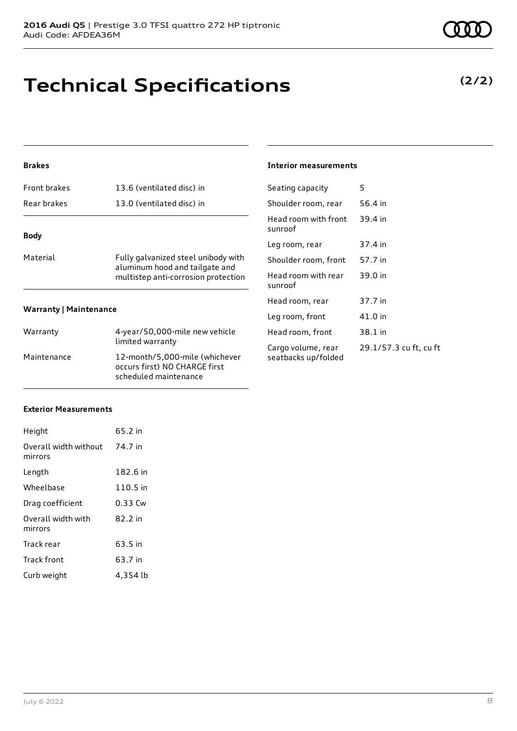# **Technical Specifications**

## **Brakes**

| Front brakes                  | 13.6 (ventilated disc) in                                             | Seat         |  |
|-------------------------------|-----------------------------------------------------------------------|--------------|--|
| Rear brakes                   | 13.0 (ventilated disc) in                                             | Shou         |  |
| <b>Body</b>                   |                                                                       | Head<br>sunr |  |
|                               |                                                                       | Leg i        |  |
| Material                      | Fully galvanized steel unibody with                                   | Shou         |  |
|                               | aluminum hood and tailgate and<br>multistep anti-corrosion protection | Hea<br>sunr  |  |
|                               |                                                                       | Head         |  |
| <b>Warranty   Maintenance</b> |                                                                       |              |  |
| Warranty                      | 4-year/50,000-mile new vehicle                                        | Hea          |  |
|                               | limited warranty                                                      | Carg         |  |
| Maintenance                   | 12-month/5,000-mile (whichever                                        | seat         |  |

occurs first) NO CHARGE first scheduled maintenance

### **Interior measurements**

| Seating capacity                          | 5                      |
|-------------------------------------------|------------------------|
| Shoulder room, rear                       | 56.4 in                |
| Head room with front<br>sunroof           | 39.4 in                |
| Leg room, rear                            | 37.4 in                |
| Shoulder room, front                      | 57.7 in                |
| Head room with rear<br>sunroof            | 39.0 in                |
| Head room, rear                           | 37.7 in                |
| Leg room, front                           | 41.0 in                |
| Head room, front                          | 38.1 in                |
| Cargo volume, rear<br>seatbacks up/folded | 29.1/57.3 cu ft, cu ft |

### **Exterior Measurements**

| Height                           | 65.2 in  |
|----------------------------------|----------|
| Overall width without<br>mirrors | 74.7 in  |
| Length                           | 182.6 in |
| Wheelbase                        | 110.5 in |
| Drag coefficient                 | 0.33 Cw  |
| Overall width with<br>mirrors    | 82.2 in  |
| Track rear                       | 63.5 in  |
| <b>Track front</b>               | 63.7 in  |
| Curb weight                      | 4,354 lb |

## **(2/2)**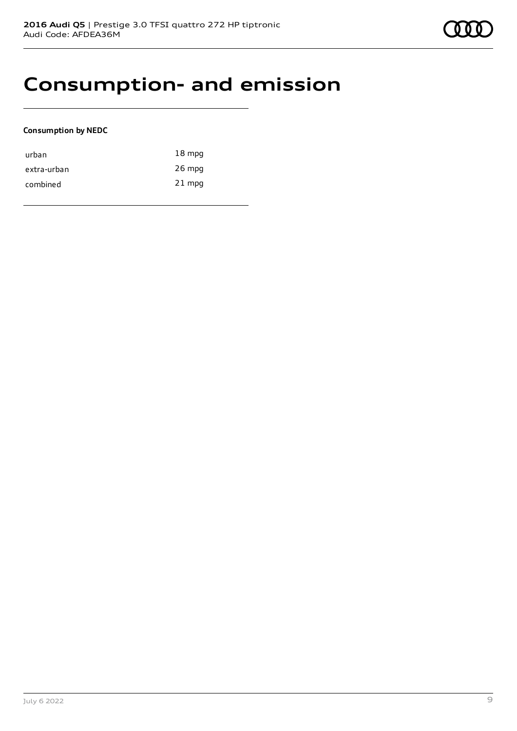## **Consumption- and emission**

## **Consumption by NEDC**

| urban       | $18 \text{ mpg}$ |
|-------------|------------------|
| extra-urban | $26$ mpg         |
| combined    | $21$ mpg         |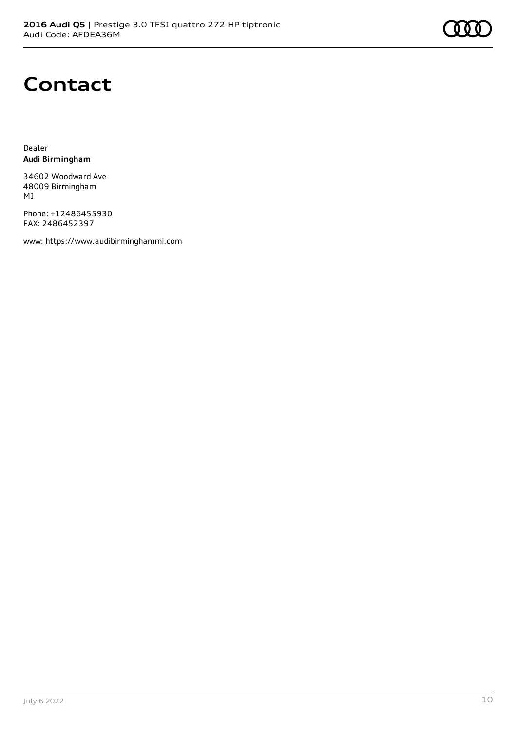## **Contact**

Dealer **Audi Birmingham**

34602 Woodward Ave 48009 Birmingham MI

Phone: +12486455930 FAX: 2486452397

www: [https://www.audibirminghammi.com](https://www.audibirminghammi.com/)